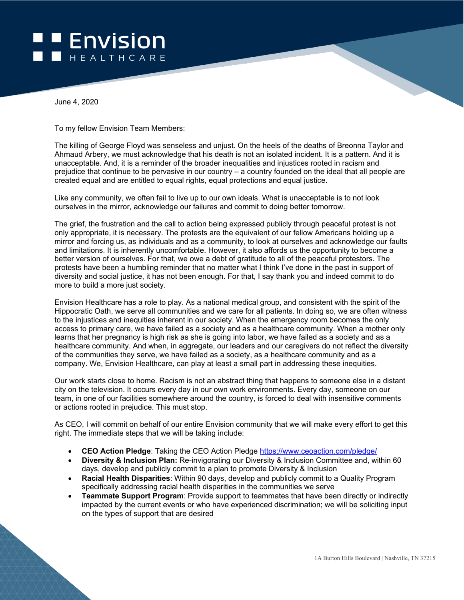## **Envision** HEALTHCARE

June 4, 2020

To my fellow Envision Team Members:

The killing of George Floyd was senseless and unjust. On the heels of the deaths of Breonna Taylor and Ahmaud Arbery, we must acknowledge that his death is not an isolated incident. It is a pattern. And it is unacceptable. And, it is a reminder of the broader inequalities and injustices rooted in racism and prejudice that continue to be pervasive in our country – a country founded on the ideal that all people are created equal and are entitled to equal rights, equal protections and equal justice.

Like any community, we often fail to live up to our own ideals. What is unacceptable is to not look ourselves in the mirror, acknowledge our failures and commit to doing better tomorrow.

The grief, the frustration and the call to action being expressed publicly through peaceful protest is not only appropriate, it is necessary. The protests are the equivalent of our fellow Americans holding up a mirror and forcing us, as individuals and as a community, to look at ourselves and acknowledge our faults and limitations. It is inherently uncomfortable. However, it also affords us the opportunity to become a better version of ourselves. For that, we owe a debt of gratitude to all of the peaceful protestors. The protests have been a humbling reminder that no matter what I think I've done in the past in support of diversity and social justice, it has not been enough. For that, I say thank you and indeed commit to do more to build a more just society.

Envision Healthcare has a role to play. As a national medical group, and consistent with the spirit of the Hippocratic Oath, we serve all communities and we care for all patients. In doing so, we are often witness to the injustices and inequities inherent in our society. When the emergency room becomes the only access to primary care, we have failed as a society and as a healthcare community. When a mother only learns that her pregnancy is high risk as she is going into labor, we have failed as a society and as a healthcare community. And when, in aggregate, our leaders and our caregivers do not reflect the diversity of the communities they serve, we have failed as a society, as a healthcare community and as a company. We, Envision Healthcare, can play at least a small part in addressing these inequities.

Our work starts close to home. Racism is not an abstract thing that happens to someone else in a distant city on the television. It occurs every day in our own work environments. Every day, someone on our team, in one of our facilities somewhere around the country, is forced to deal with insensitive comments or actions rooted in prejudice. This must stop.

As CEO, I will commit on behalf of our entire Envision community that we will make every effort to get this right. The immediate steps that we will be taking include:

- **CEO Action Pledge**: Taking the CEO Action Pledge<https://www.ceoaction.com/pledge/>
- **Diversity & Inclusion Plan:** Re-invigorating our Diversity & Inclusion Committee and, within 60 days, develop and publicly commit to a plan to promote Diversity & Inclusion
- **Racial Health Disparities**: Within 90 days, develop and publicly commit to a Quality Program specifically addressing racial health disparities in the communities we serve
- **Teammate Support Program**: Provide support to teammates that have been directly or indirectly impacted by the current events or who have experienced discrimination; we will be soliciting input on the types of support that are desired